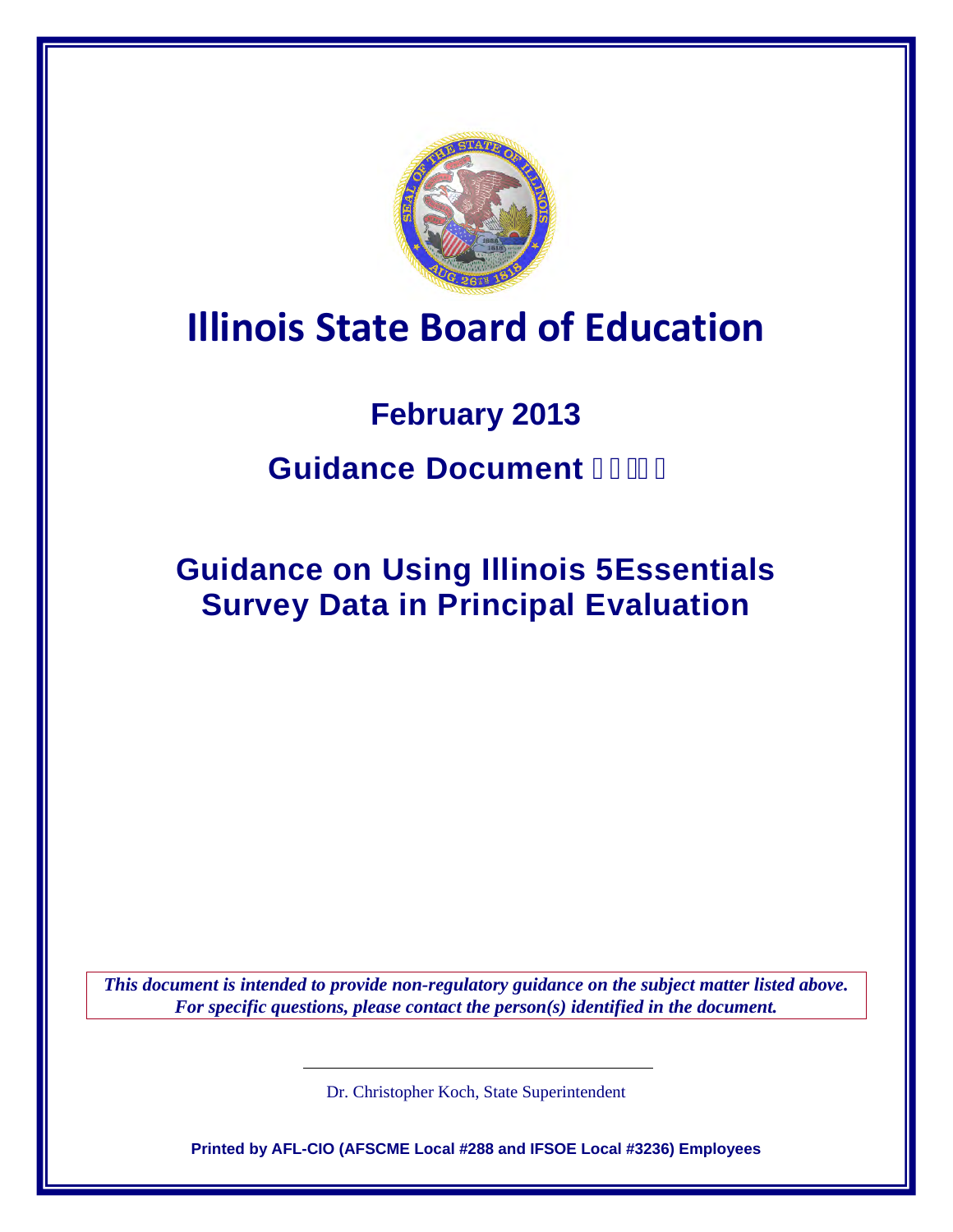

# **Illinois State Board of Education**

# **February 2013 Guidance Document**

**Guidance on Using Illinois 5Essentials Survey Data in Principal Evaluation**

*This document is intended to provide non-regulatory guidance on the subject matter listed above. For specific questions, please contact the person(s) identified in the document.*

Dr. Christopher Koch, State Superintendent

**Printed by AFL-CIO (AFSCME Local #288 and IFSOE Local #3236) Employees**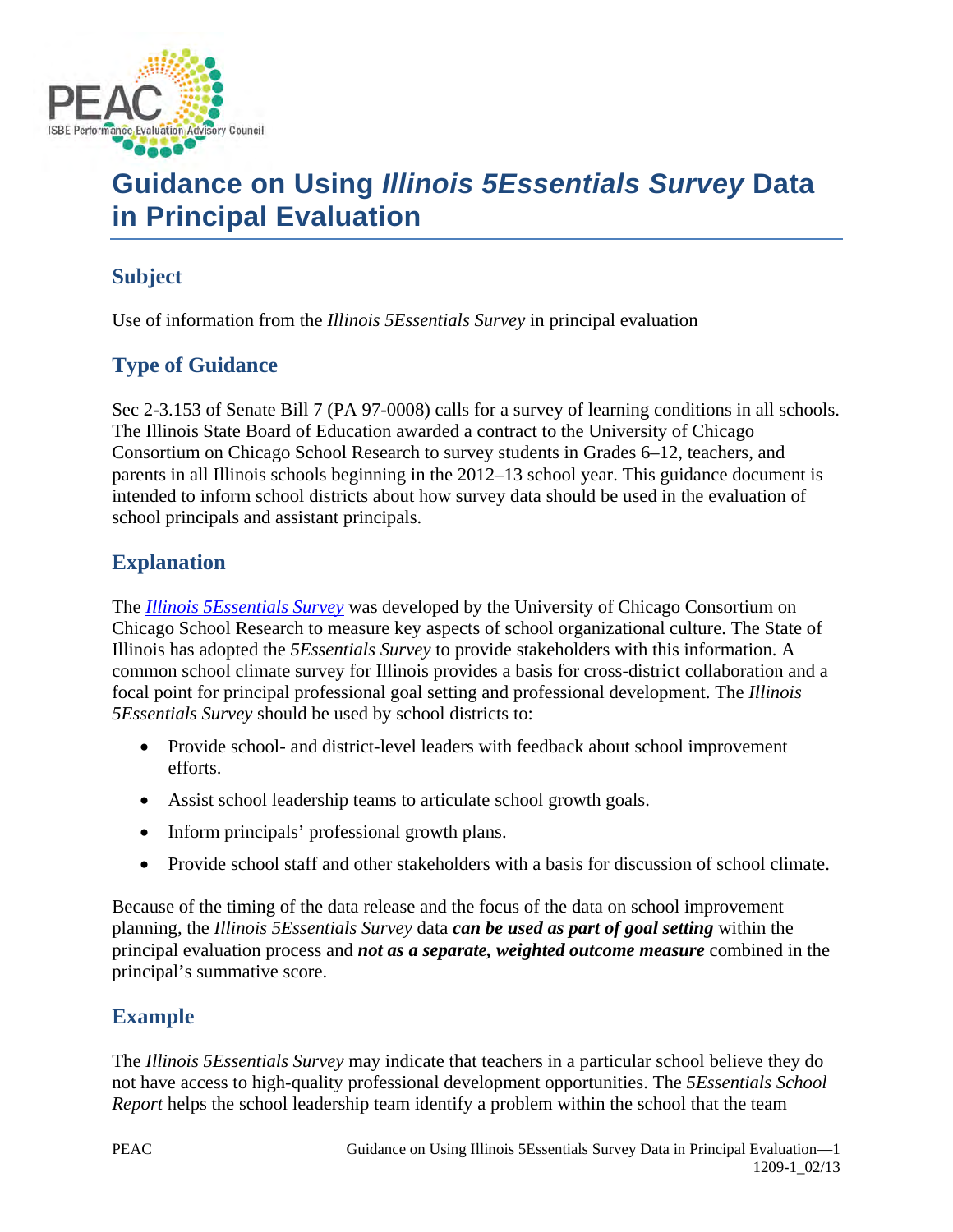

# **Guidance on Using** *Illinois 5Essentials Survey* **Data in Principal Evaluation**

### **Subject**

Use of information from the *Illinois 5Essentials Survey* in principal evaluation

## **Type of Guidance**

Sec 2-3.153 of Senate Bill 7 (PA 97-0008) calls for a survey of learning conditions in all schools. The Illinois State Board of Education awarded a contract to the University of Chicago Consortium on Chicago School Research to survey students in Grades 6–12, teachers, and parents in all Illinois schools beginning in the 2012–13 school year. This guidance document is intended to inform school districts about how survey data should be used in the evaluation of school principals and assistant principals.

### **Explanation**

The *[Illinois 5Essentials Survey](http://uchicagoimpact.org/5essentials/)* was developed by the University of Chicago Consortium on Chicago School Research to measure key aspects of school organizational culture. The State of Illinois has adopted the *5Essentials Survey* to provide stakeholders with this information. A common school climate survey for Illinois provides a basis for cross-district collaboration and a focal point for principal professional goal setting and professional development. The *Illinois 5Essentials Survey* should be used by school districts to:

- Provide school- and district-level leaders with feedback about school improvement efforts.
- Assist school leadership teams to articulate school growth goals.
- Inform principals' professional growth plans.
- Provide school staff and other stakeholders with a basis for discussion of school climate.

Because of the timing of the data release and the focus of the data on school improvement planning, the *Illinois 5Essentials Survey* data *can be used as part of goal setting* within the principal evaluation process and *not as a separate, weighted outcome measure* combined in the principal's summative score.

#### **Example**

The *Illinois 5Essentials Survey* may indicate that teachers in a particular school believe they do not have access to high-quality professional development opportunities. The *5Essentials School Report* helps the school leadership team identify a problem within the school that the team